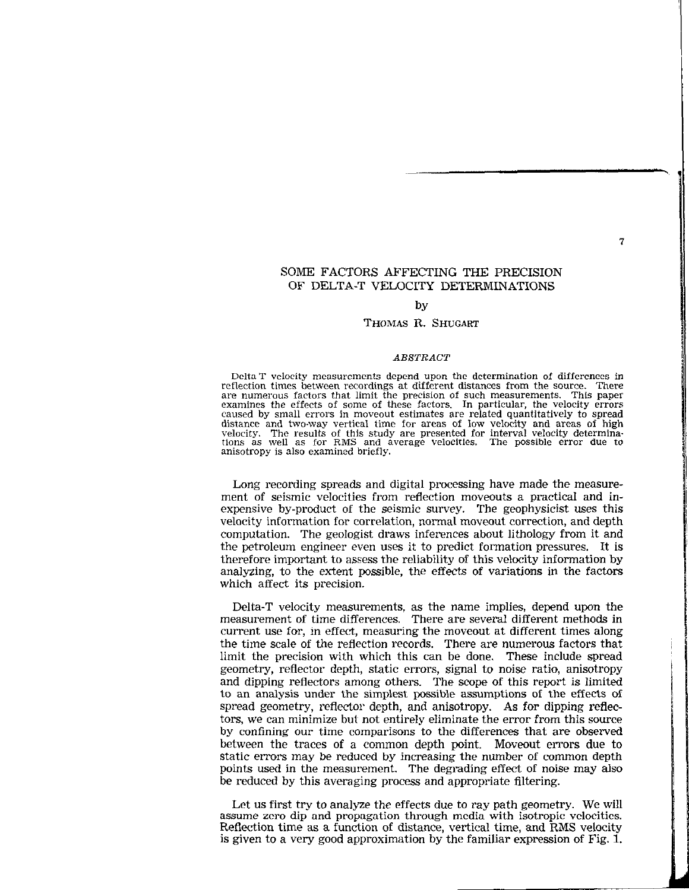SOME FACTORS AFFECTING THE PRECISION OF DELTA-T VELOCITY DETERMINATIONS

### by

### THOMAS R. SHUGART

#### **ABSTRACT**

Delta-T velocity measurements depend upon the determination of differences in reflection times between recordings at different distances from the source. There are numerous factors that limit the precision of such measurements. This paper examines the effects of some of these Iactors. In particular, the velocity errors caused by small errors in mOveout estimates are related quantitatively to spread distance and two-way vertical time for areas of low velocity and areas of high velocity. The results of this study are presented for interval velocity determina- determinations as well as for RMS and average velocities. The possible ernx due to anisotropy is also examined briefly.

Long recording spreads and digital processing have made the measurement of seismic velocities from reflection moveouts a practical and inexpensive by-product of the seismic survey. The geophysicist uses this velocity information for correlation, normal moveout correction, and depth computation. The geologist draws inferences about lithology from it and the petroleum engineer even uses it to predict formation pressures. It is therefore important to assess the reliability of this velocity information by analyzing, to the extent possible, the effects of variations in the factors which affect its precision.

Delta-T velocity measurements, as the name implies, depend upon the measurement of time differences. There are several different methods in current use for, in effect, measuring the moveout at different times along the time scale of the reflection records. There are numerous factors that limit the precision with which this can be done. These include spread geometry, reflector depth, static errors, signal to noise ratio, anisotropy and dipping reflectors among others. The scope of this report is limited to an analysis under the simplest possible assumptions of the effects of spread geometry, reflector depth, and anisotropy. As for dipping reflectors, we can minimize but not entirely eliminate the error from this source by confining our time comparisons to the differences that are observed between the traces of a common depth point. Moveout errors due to static errors may be reduced by increasing the number of common depth points used in the measurement. The degrading effect of noise may also be reduced by this averaging process and appropriate filtering.

Let us first try to analyze the effects due to ray path geometry. We will assume zero dip and propagation through media with isotropic velocities. Reflection time as a function of distance, vertical time, and RMS velocity is given to a very good approximation by the familiar expression of Fig. 1.

 $\overline{\mathcal{U}}$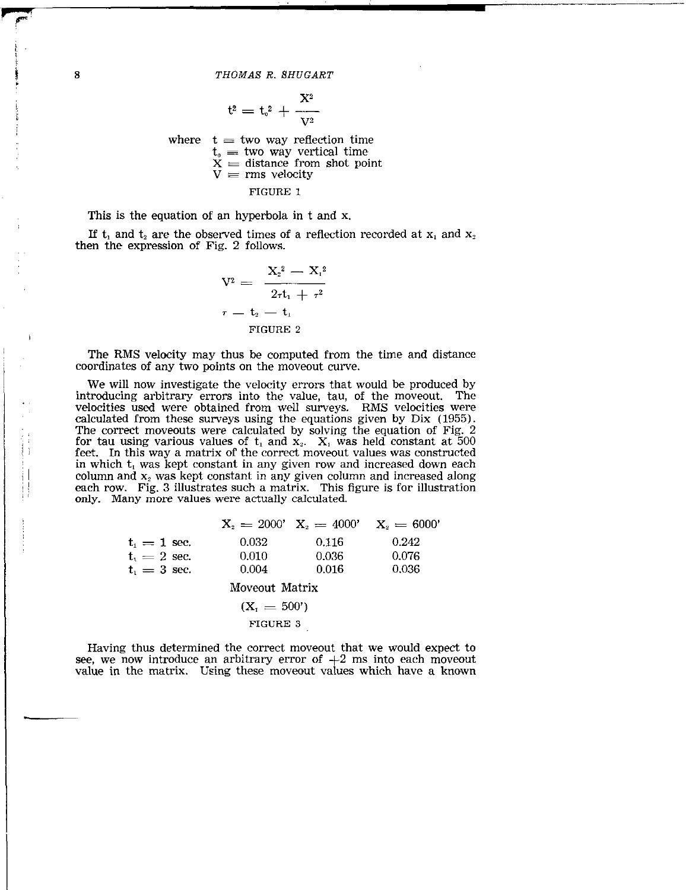$$
\mathfrak{t}^{\mathfrak{2}}=\mathfrak{t}_{\mathfrak{s}}^{\mathfrak{2}}+\frac{X^{\mathfrak{2}}}{V^{\mathfrak{2}}}
$$

where  $t = two way reflection time$  $\mathsf{t}_\circ \equiv$  two way vertical time  $X \equiv$  distance from shot point  ${\tt V} \equiv {\tt rms}$  velocity FIGURE 1

This is the equation of an hyperbola in t and x.

If  $t_1$  and  $t_2$  are the observed times of a reflection recorded at  $x_1$  and  $x_2$ then the expression of Fig. 2 follows.

$$
V^2 = \frac{X_2^2 - X_1^2}{2rt_1 + r^2}
$$

$$
\tau = t_2 - t_1
$$
FIGURE 2

The RMS velocity may thus be computed from the time and distance coordinates of any two points on the moveout curve.

We will now investigate the velocity errors that would be produced by introducing arbitrary errors into the value, tau, of the moveout. The velocities used were obtained from well surveys. RMS velocities were calculated from these surveys using the equations given by Dix (1955). The correct moveouts were calculated by solving the equation of Fig. 2 for tau using various values of  $t_1$  and  $x_2$ .  $X_i$  was held constant at 500 feet. In this way a matrix of the correct moveout values was constructed in which  $t_1$  was kept constant in any given row and increased down each column and  $x_2$  was kept constant in any given column and increased along each row. Fig. 3 illustrates such a matrix. This figure is for illustration only. Many more values were actually calculated.

|                                         |                | $X_0 = 2000'$ $X_0 = 4000'$ | $\mathrm{X}_\circ=6000^\prime$ |
|-----------------------------------------|----------------|-----------------------------|--------------------------------|
| $\mathrm{t_{i}=1~sec.}$                 | 0.032          | 0.116                       | 0.242                          |
| ${\rm t_{\scriptscriptstyle 1}=2}$ sec. | 0.010          | 0.036                       | 0.076                          |
| $t_i = 3$ sec.                          | 0.004          | 0.016                       | 0.036                          |
|                                         | Moveout Matrix |                             |                                |
|                                         | $(X_1 = 500')$ |                             |                                |

FIGURE 3

Having thus determined the correct moveout that we would expect to see, we now introduce an arbitrary error of  $+2$  ms into each moveout value in the matrix. Using these moveout values which have a known

/

 $\overline{\mathfrak{f}}$  1.

j 1 :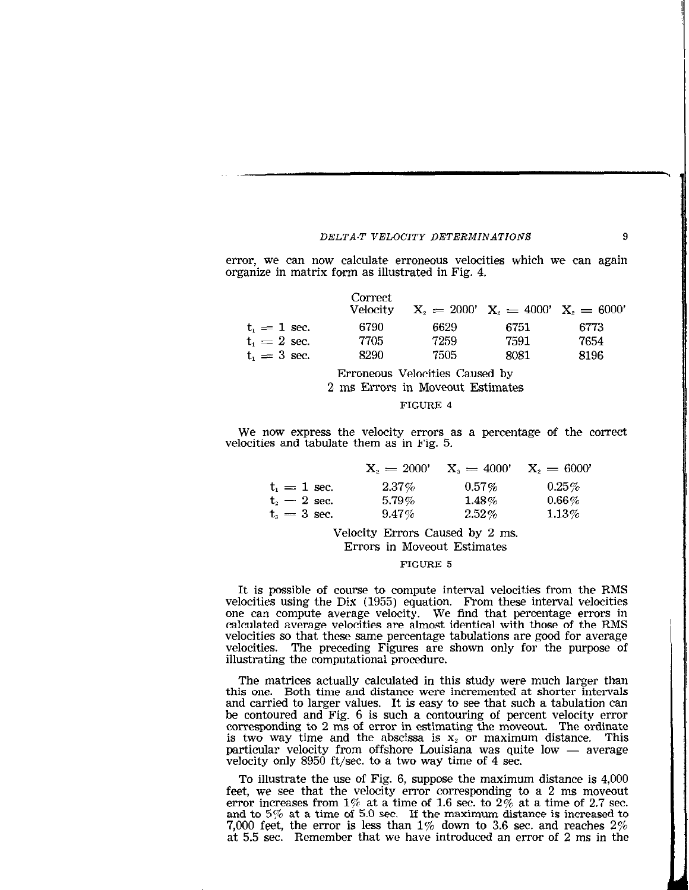error, we can now calculate erroneous velocities which we can again organize in matrix form as illustrated in Fig. 4.

|                                               | Correct<br>Velocity |      | $X_2 = 2000'$ $X_2 = 4000'$ $X_3 = 6000'$ |      |
|-----------------------------------------------|---------------------|------|-------------------------------------------|------|
| $\mathrm{t_{\scriptscriptstyle{T}}} = 1$ sec. | 6790                | 6629 | 6751                                      | 6773 |
| $\mathsf{t}_1 = 2$ sec.                       | 7705                | 7259 | 7591                                      | 7654 |
| $t_i = 3$ sec.                                | 8290                | 7505 | 8081                                      | 8196 |
|                                               |                     |      |                                           |      |

Erroneous Velocities Caused by

2 ms Errors in Moveout Estimates

# FIGURE 4

We now express the velocity errors as a percentage of the correct velocities and tabulate them as in Fig. 5.

|                    | $X_2 = 2000'$ | $X_2 = 4000'$ | $X_2 = 6000'$ |
|--------------------|---------------|---------------|---------------|
| $t_i = 1$ sec.     | $2.37\%$      | $0.57\%$      | $0.25\%$      |
| $t_{\rm s}=2$ sec. | $5.79\%$      | $1.48\%$      | $0.66\%$      |
| $t_{\rm s}=3$ sec. | $9.47\%$      | $2.52\%$      | $1.13\%$      |

Velocity Errors Caused by 2 ms. Errors in Moveout Estimates

### FIGURE 5

It is possible of course to compute interval velocities from the RMS velocities using the Dix (1955) equation. From these interval velocities one can compute average velocity. We find that percentage errors in calculated average velocities are almost identical with those of the RMS velocities so that these same percentage tabulations are good for average velocities. The preceding Figures are shown only for the purpose of illustrating the computational procedure.

The matrices actually calculated in this study were much larger than this one. Both time and distance were incremented at shorter intervals and carried to larger values. It is easy to see that such a tabulation can be contoured and Fig. 6 is such a contouring of percent velocity error corresponding to 2 ms of error in estimating the moveout. The ordinate is two way time and the abscissa is  $x_2$  or maximum distance. This particular velocity from offshore Louisiana was quite low  $-$  average velocity only 8950 ft/sec. to a two way time of 4 sec.

To illustrate the use of Fig. 6, suppose the maximum distance is 4,000 feet, we see that the velocity error corresponding to a 2 ms moveout error increases from  $1\%$  at a time of 1.6 sec. to  $2\%$  at a time of 2.7 sec. and to 5% at a time of 5.0 sec. If the maximum distance is increased to 7,000 feet, the error is less than  $1\%$  down to 3.6 sec. and reaches  $2\%$ at 5.5 sec. Remember that we have introduced an error of 2 ms in the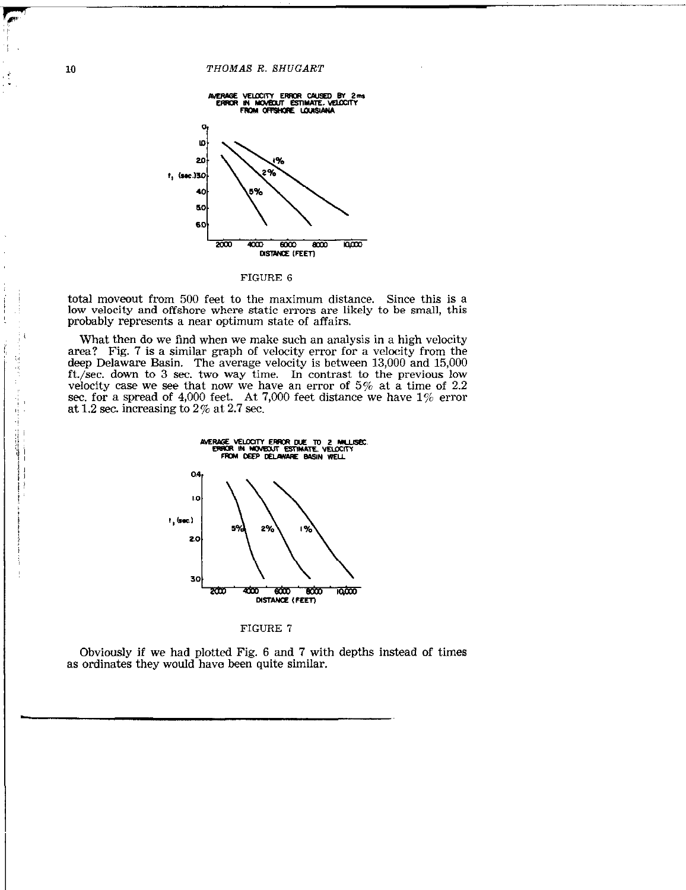

FIGURE 6

total moveout from 500 feet to the maximum distance. Since this is a low velocity and offshore where static errors are likely to be small, this probably represents a near optimum state of affairs.

What then do we find when we make such an analysis in a high velocity area? Fig. 7 is a similar graph of velocity error for a velocity from the deep Delaware Basin. The average velocity is between 13,000 and 15,000 ft./set. down to 3 sec. two way time. In contrast to the previous low velocity case we see that now we have an error of  $5\%$  at a time of 2.2 sec. for a spread of 4,000 feet. At 7,000 feet distance we have  $1\%$  error at 1.2 sec. increasing to 2% at 2.7 sec.





Obviously if we had plotted Fig. 6 and 7 with depths instead of times as ordinates they would have been quite similar.

 $\frac{r}{r}$  $\frac{1}{2}$ 

> :. ,.,

 $\sum_{i=1}^{n}$ 

 $\begin{array}{c} \begin{array}{c} \hline \hline \hline \hline \hline \hline \hline \hline \end{array} \end{array}$  $\frac{1}{\gamma}$ 

1.58.50 1.2.2010 1.2010 1.2010 1.2010 1.2010 1.2010 1.2010 1.2010 1.2010 1.2010 1.2010 1.2010 1.2010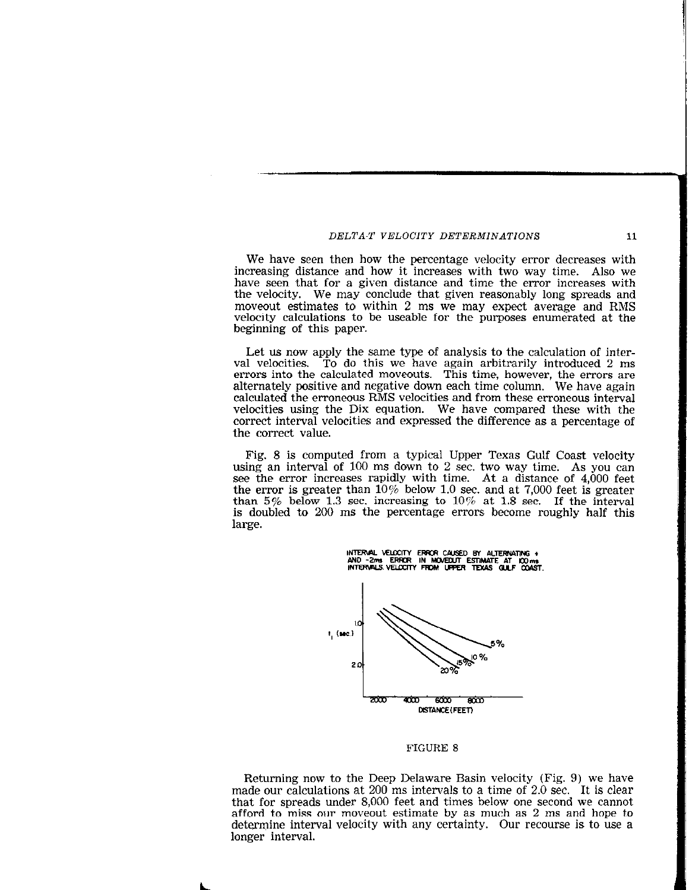We have seen then how the percentage velocity error decreases with increasing distance and how it increases with two way time. Also we have seen that for a given distance and time the error increases with the velocity. We may conclude that given reasonably long spreads and moveout estimates to within 2 ms we may expect average and RMS velocity calculations to be useable for the purposes enumerated at the beginning of this paper.

Let us now apply the same type of analysis to the calculation of interval velocities. To do this we have again arbitrarily introduced 2 ms errors into the calculated moveouts. This time, however, the errors are alternately positive and negative down each time column. We have again calculated the erroneous RMS velocities and from these erroneous interval velocities using the Dix equation. We have compared these with the correct interval velocities and expressed the difference as a percentage of the correct value.

Fig. 8 is computed from a typical Upper Texas Gulf Coast velocity using an interval of 100 ms down to 2 sec. two way time. As you can see the error increases rapidly with time. At a distance of 4,000 feet the error is greater than  $10\%$  below 1.0 sec. and at 7,000 feet is greater than 5% below 1.3 sec. increasing to  $10\%$  at 1.8 sec. If the interval is doubled to 200 ms the percentage errors become roughly half this large.



### FIGURE 8

Returning now to the Deep Delaware Basin velocity (Fig. 9) we have made our calculations at 200 ms intervals to a time of 2.0 sec. It is clear that for spreads under 8,000 feet and times below one second we cannot afford to miss our moveout estimate by as much as 2 ms and hope to determine interval velocity with any certainty. Our recourse is to use a longer interval.

11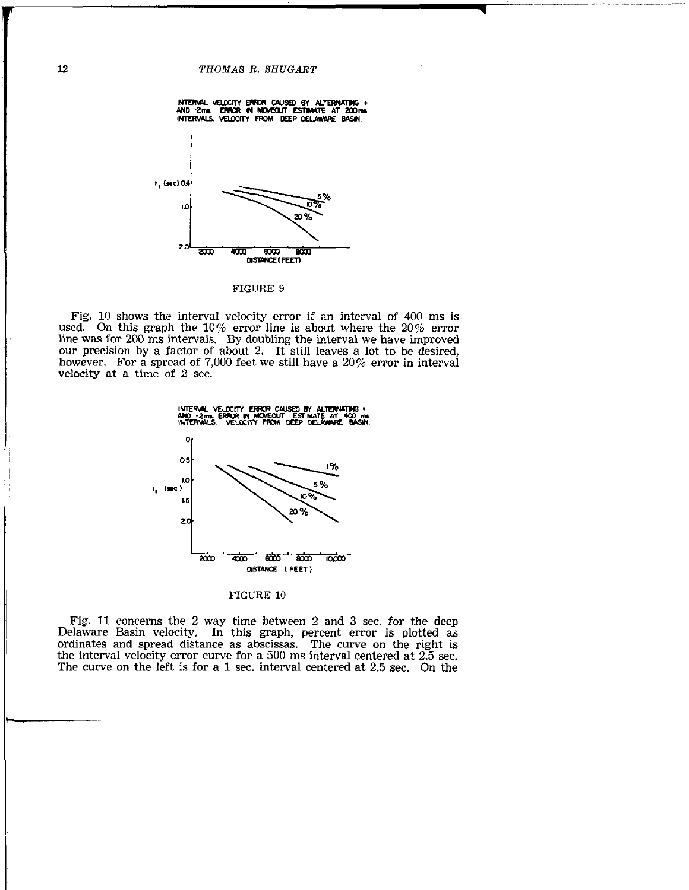

FIGURE 9

Fig. 10 shows the interval velocity error if an interval of 400 ms is used. On this graph the 10% error line is about where the  $20\%$  error line was for 200 ms intervals. By doubling the interval we have improved our precision by a factor of about 2. It still leaves a lot to be desired, however. For a spread of 7,000 feet we still have a  $20\%$  error in interval velocity at a time of 2 sec.



### FIGURE 10

Fig. 11 concerns the 2 way time between 2 and 3 sec. for the deep Delaware Basin velocity. In this graph, percent error is plotted as ordinates and spread distance as abscissas. The curve on the right is the interval velocity error curve for a 500 ms interval centered at 2.5 sec. The curve on the left is for a 1 sec. interval centered at 2.5 sec. On the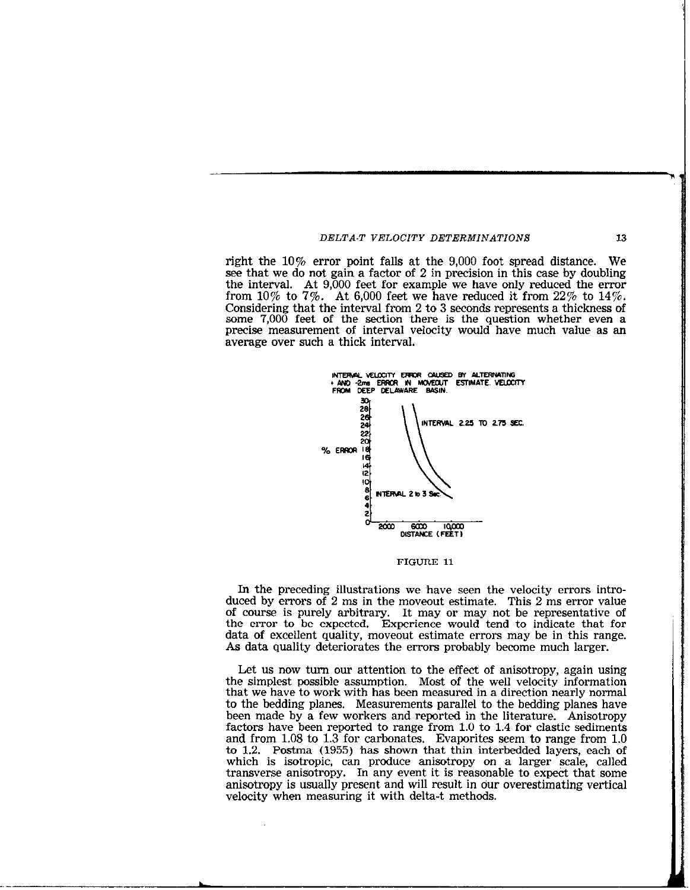right the 10% error point falls at the 9,000 foot spread distance. We see that we do not gain a factor of 2 in precision in this case by doubling the interval. At 9,000 feet for example we have only reduced the error from 10% to 7%. At 6,000 feet we have reduced it from  $22\%$  to  $14\%$ . Considering that the interval from 2 to 3 seconds represents a thickness of some 7,000 feet of the section there is the question whether even a precise measurement of interval velocity would have much value as an average over such a thick interval.



FIGURE 11

In the preceding illustrations we have seen the velocity errors introduced by errors of 2 ms in the moveout estimate. This 2 ms error value of course is purely arbitrary. It may or may not be representative of the error to be expected. Experience would tend to indicate that for data of excellent quality, 'moveout estimate errors may be in this range. As data quality deteriorates the errors probably become much larger.

Let us now turn our attention to the effect of anisotropy, again using the simplest possible assumption. Most of the well velocity information that we have to work with has been measured in a direction nearly normal to the bedding planes. Measurements parallel to the bedding planes have been made by a few workers and reported in the literature. Anisotropy factors have been reported to range from 1.0 to 1.4 for elastic sediments and from 1.08 to 1.3 for carbonates. Evaporites seem to range from 1.0 to 1.2. Postma (1955) has shown that thin interbedded layers, each of which is isotropic, can produce anisotropy on a larger scale, called transverse anisotropy. In any event it is reasonable to expect that some anisotropy is usually present and will result in our overestimating vertical velocity when measuring it with delta-t methods.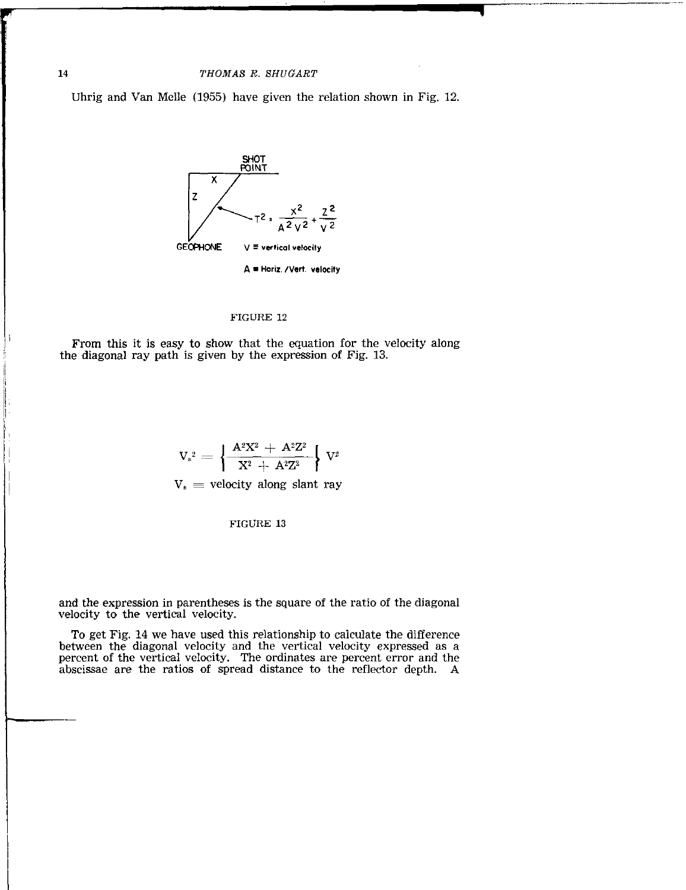Uhrig and Van Melle (1955) have given the relation shown in Fig. 12.



### FIGURE 12

From this it is easy to show that the equation for the velocity along the diagonal ray path is given by the expression of Fig. 13.

$$
V_{s}^{2} = \left\{ \frac{A^{2}X^{2} + A^{2}Z^{2}}{X^{2} + A^{2}Z^{2}} \right\} V^{2}
$$

 $V_s$  = velocity along slant ray

FIGURE 13

and the expression in parentheses is the square of the ratio of the diagonal velocity to the vertical velocity.

To get Fig. 14 we have used this relationship to calculate the difference between the diagonal velocity and the vertical velocity expressed as a percent of the vertical velocity. The ordinates are percent error and the abscissae are the ratios of spread distance to the reflector depth. A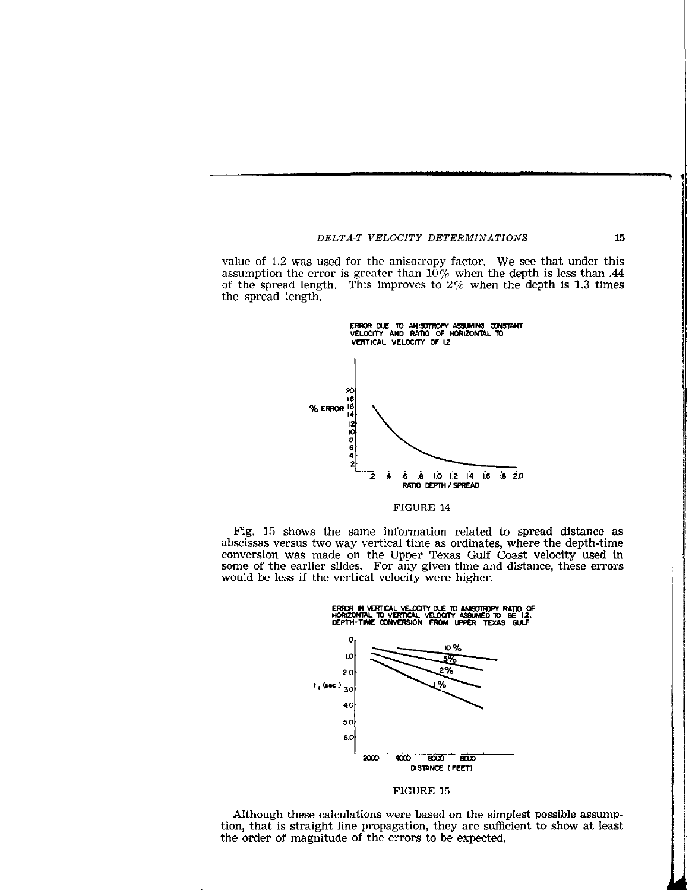value of 1.2 was used for the anisotropy factor. We see that under this assumption the error is greater than  $10\%$  when the depth is less than .44 of the spread length. This improves to  $2\%$  when the depth is 1.3 times the spread length.



FIGURE 14

Fig. 15 shows the same information related to spread distance as abscissas versus two way vertical time as ordinates, where the depth-time conversion was made on the Upper Texas Gulf Coast velocity used in some of the earlier slides. For any given time and distance, these errors would be less if the vertical velocity were higher.



FIGURE 15

Although these calculations were based on the simplest possible assumption, that is straight line propagation, they are sufficient to show at least the order of magnitude of the errors to be expected.